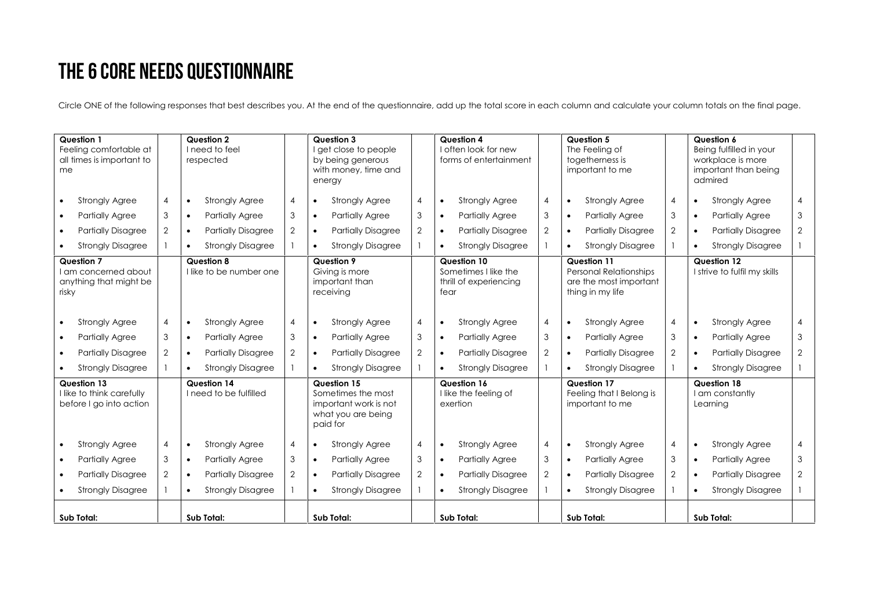## THE 6 CORE NEEDS QUESTIONNAIRE

Circle ONE of the following responses that best describes you. At the end of the questionnaire, add up the total score in each column and calculate your column totals on the final page.

| <b>Question 1</b><br>Feeling comfortable at<br>all times is important to<br>me |                | Question 2<br>I need to feel<br>respected    |                | Question 3<br>I get close to people<br>by being generous<br>with money, time and<br>energy   | Question 4<br>I often look for new<br>forms of entertainment          | Question 5<br>The Feeling of<br>togetherness is<br>important to me                         | Question 6<br>Being fulfilled in your<br>workplace is more<br>important than being<br>admired |                |
|--------------------------------------------------------------------------------|----------------|----------------------------------------------|----------------|----------------------------------------------------------------------------------------------|-----------------------------------------------------------------------|--------------------------------------------------------------------------------------------|-----------------------------------------------------------------------------------------------|----------------|
| <b>Strongly Agree</b>                                                          | $\overline{4}$ | <b>Strongly Agree</b><br>$\bullet$           | $\overline{4}$ | <b>Strongly Agree</b><br>$\overline{4}$<br>$\bullet$                                         | <b>Strongly Agree</b><br>4<br>$\bullet$                               | $\overline{4}$<br><b>Strongly Agree</b><br>$\bullet$                                       | <b>Strongly Agree</b><br>$\bullet$                                                            | $\overline{4}$ |
| <b>Partially Agree</b><br>$\bullet$                                            | 3              | <b>Partially Agree</b><br>$\bullet$          | 3              | 3<br><b>Partially Agree</b><br>$\bullet$                                                     | 3<br><b>Partially Agree</b>                                           | 3<br><b>Partially Agree</b><br>$\bullet$                                                   | <b>Partially Agree</b><br>$\bullet$                                                           | 3              |
| <b>Partially Disagree</b>                                                      | $\overline{2}$ | <b>Partially Disagree</b><br>$\bullet$       | $\overline{2}$ | $\overline{2}$<br><b>Partially Disagree</b><br>$\bullet$                                     | $\overline{2}$<br><b>Partially Disagree</b>                           | $\overline{2}$<br><b>Partially Disagree</b><br>$\bullet$                                   | <b>Partially Disagree</b><br>$\bullet$                                                        | 2              |
| <b>Strongly Disagree</b>                                                       |                | <b>Strongly Disagree</b><br>$\bullet$        |                | <b>Strongly Disagree</b><br>$\bullet$                                                        | <b>Strongly Disagree</b>                                              | <b>Strongly Disagree</b><br>$\mathbf{1}$<br>$\bullet$                                      | <b>Strongly Disagree</b><br>$\bullet$                                                         |                |
| Question 7<br>I am concerned about<br>anything that might be<br>risky          |                | <b>Question 8</b><br>I like to be number one |                | Question 9<br>Giving is more<br>important than<br>receiving                                  | Question 10<br>Sometimes I like the<br>thrill of experiencing<br>fear | Question 11<br><b>Personal Relationships</b><br>are the most important<br>thing in my life | Question 12<br>I strive to fulfil my skills                                                   |                |
| <b>Strongly Agree</b>                                                          | $\overline{4}$ | <b>Strongly Agree</b><br>$\bullet$           | $\overline{4}$ | <b>Strongly Agree</b><br>$\overline{4}$<br>$\bullet$                                         | <b>Strongly Agree</b><br>4<br>$\bullet$                               | <b>Strongly Agree</b><br>4<br>$\bullet$                                                    | <b>Strongly Agree</b><br>$\bullet$                                                            | $\overline{4}$ |
| <b>Partially Agree</b>                                                         | 3              | <b>Partially Agree</b><br>$\bullet$          | 3              | 3<br><b>Partially Agree</b><br>$\bullet$                                                     | 3<br><b>Partially Agree</b>                                           | 3<br><b>Partially Agree</b><br>$\bullet$                                                   | <b>Partially Agree</b><br>$\bullet$                                                           | 3              |
| <b>Partially Disagree</b>                                                      | 2              | <b>Partially Disagree</b><br>$\bullet$       | $\overline{2}$ | $\overline{2}$<br><b>Partially Disagree</b><br>$\bullet$                                     | 2<br><b>Partially Disagree</b>                                        | $\overline{2}$<br><b>Partially Disagree</b><br>$\bullet$                                   | <b>Partially Disagree</b><br>$\bullet$                                                        | $\overline{2}$ |
| <b>Strongly Disagree</b>                                                       |                | <b>Strongly Disagree</b><br>$\bullet$        |                | <b>Strongly Disagree</b><br>$\bullet$                                                        | <b>Strongly Disagree</b>                                              | <b>Strongly Disagree</b><br>$\mathbf{1}$                                                   | <b>Strongly Disagree</b><br>$\bullet$                                                         |                |
| Question 13<br>I like to think carefully<br>before I go into action            |                | Question 14<br>I need to be fulfilled        |                | Question 15<br>Sometimes the most<br>important work is not<br>what you are being<br>paid for | Question 16<br>I like the feeling of<br>exertion                      | Question 17<br>Feeling that I Belong is<br>important to me                                 | Question 18<br>I am constantly<br>Learnina                                                    |                |
| <b>Strongly Agree</b>                                                          | 4              | <b>Strongly Agree</b><br>$\bullet$           | $\overline{4}$ | <b>Strongly Agree</b><br>$\overline{4}$<br>$\bullet$                                         | <b>Strongly Agree</b><br>4<br>$\bullet$                               | <b>Strongly Agree</b><br>4<br>$\bullet$                                                    | <b>Strongly Agree</b><br>$\bullet$                                                            | $\overline{4}$ |
| <b>Partially Agree</b><br>$\bullet$                                            | 3              | <b>Partially Agree</b><br>$\bullet$          | 3              | 3<br><b>Partially Agree</b><br>$\bullet$                                                     | <b>Partially Agree</b><br>3<br>$\bullet$                              | 3<br><b>Partially Agree</b><br>$\bullet$                                                   | <b>Partially Agree</b><br>$\bullet$                                                           | 3              |
| <b>Partially Disagree</b>                                                      | $\overline{2}$ | <b>Partially Disagree</b><br>$\bullet$       | $\overline{2}$ | $\overline{2}$<br><b>Partially Disagree</b><br>$\bullet$                                     | 2<br><b>Partially Disagree</b>                                        | $\mathbf{2}$<br><b>Partially Disagree</b><br>$\bullet$                                     | <b>Partially Disagree</b><br>$\bullet$                                                        | 2              |
| <b>Strongly Disagree</b>                                                       |                | <b>Strongly Disagree</b><br>$\bullet$        |                | <b>Strongly Disagree</b><br>$\bullet$                                                        | <b>Strongly Disagree</b><br>$\bullet$                                 | <b>Strongly Disagree</b><br>$\mathbf{1}$<br>$\bullet$                                      | <b>Strongly Disagree</b><br>$\bullet$                                                         |                |
| Sub Total:                                                                     |                | Sub Total:                                   |                | Sub Total:                                                                                   | Sub Total:                                                            | Sub Total:                                                                                 | Sub Total:                                                                                    |                |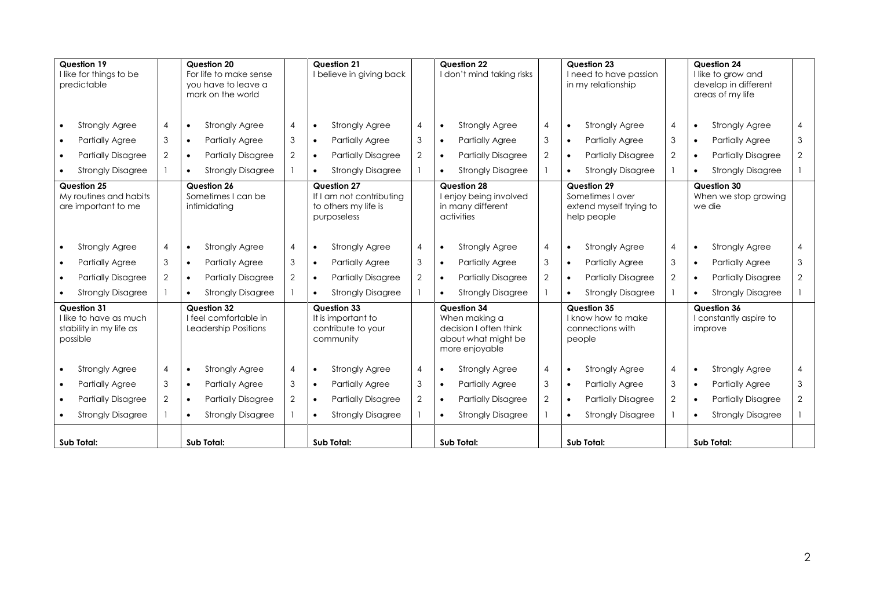| Question 19<br>I like for things to be<br>predictable                        |                | Question 20<br>For life to make sense<br>you have to leave a<br>mark on the world |                | Question 21<br>I believe in giving back                                        |                | Question 22<br>I don't mind taking risks                                                        |                | Question 23<br>I need to have passion<br>in my relationship               |                | Question 24<br>I like to grow and<br>develop in different<br>areas of my life |                |
|------------------------------------------------------------------------------|----------------|-----------------------------------------------------------------------------------|----------------|--------------------------------------------------------------------------------|----------------|-------------------------------------------------------------------------------------------------|----------------|---------------------------------------------------------------------------|----------------|-------------------------------------------------------------------------------|----------------|
| <b>Strongly Agree</b>                                                        | 4              | <b>Strongly Agree</b><br>$\bullet$                                                | 4              | <b>Strongly Agree</b>                                                          | 4              | <b>Strongly Agree</b><br>$\bullet$                                                              | $\overline{4}$ | <b>Strongly Agree</b><br>$\bullet$                                        | $\overline{4}$ | <b>Strongly Agree</b><br>$\bullet$                                            | 4              |
| <b>Partially Agree</b>                                                       | 3              | <b>Partially Agree</b><br>$\bullet$                                               | 3              | <b>Partially Agree</b><br>$\bullet$                                            | 3              | <b>Partially Agree</b><br>$\bullet$                                                             | 3              | <b>Partially Agree</b><br>$\bullet$                                       | 3              | Partially Agree<br>$\bullet$                                                  | 3              |
| <b>Partially Disagree</b>                                                    | 2              | <b>Partially Disagree</b><br>$\bullet$                                            | $\overline{2}$ | <b>Partially Disagree</b><br>$\bullet$                                         | $\overline{2}$ | <b>Partially Disagree</b><br>$\bullet$                                                          | 2              | <b>Partially Disagree</b><br>$\bullet$                                    | 2              | <b>Partially Disagree</b><br>$\bullet$                                        | $\overline{2}$ |
| <b>Strongly Disagree</b>                                                     |                | <b>Strongly Disagree</b><br>$\bullet$                                             |                | <b>Strongly Disagree</b>                                                       |                | <b>Strongly Disagree</b>                                                                        |                | <b>Strongly Disagree</b><br>$\bullet$                                     |                | <b>Strongly Disagree</b><br>$\bullet$                                         |                |
| Question 25<br>My routines and habits<br>are important to me                 |                | Question 26<br>Sometimes I can be<br>intimidatina                                 |                | Question 27<br>If I am not contributing<br>to others my life is<br>purposeless |                | Question 28<br>enjoy being involved<br>in many different<br>activities                          |                | Question 29<br>Sometimes I over<br>extend myself trying to<br>help people |                | Question 30<br>When we stop growing<br>we die                                 |                |
| <b>Strongly Agree</b>                                                        | 4              | <b>Strongly Agree</b><br>$\bullet$                                                | $\overline{4}$ | <b>Strongly Agree</b><br>$\bullet$                                             | 4              | <b>Strongly Agree</b><br>$\bullet$                                                              | $\overline{4}$ | <b>Strongly Agree</b><br>$\bullet$                                        | $\overline{4}$ | <b>Strongly Agree</b><br>$\bullet$                                            | 4              |
| <b>Partially Agree</b>                                                       | 3              | <b>Partially Agree</b><br>$\bullet$                                               | 3              | <b>Partially Agree</b>                                                         | 3              | <b>Partially Agree</b><br>$\bullet$                                                             | 3              | <b>Partially Agree</b><br>$\bullet$                                       | 3              | <b>Partially Agree</b><br>$\bullet$                                           | 3              |
| <b>Partially Disagree</b>                                                    | $\overline{2}$ | <b>Partially Disagree</b><br>$\bullet$                                            | $\overline{2}$ | <b>Partially Disagree</b>                                                      | $\overline{2}$ | <b>Partially Disagree</b><br>$\bullet$                                                          | $\overline{2}$ | <b>Partially Disagree</b><br>$\bullet$                                    | 2              | <b>Partially Disagree</b>                                                     | $\overline{2}$ |
| <b>Strongly Disagree</b>                                                     |                | <b>Strongly Disagree</b><br>$\bullet$                                             |                | <b>Strongly Disagree</b>                                                       |                | <b>Strongly Disagree</b>                                                                        |                | <b>Strongly Disagree</b>                                                  |                | <b>Strongly Disagree</b>                                                      |                |
| Question 31<br>I like to have as much<br>stability in my life as<br>possible |                | <b>Question 32</b><br>I feel comfortable in<br>Leadership Positions               |                | <b>Question 33</b><br>It is important to<br>contribute to your<br>community    |                | Question 34<br>When making a<br>decision I often think<br>about what might be<br>more enjoyable |                | Question 35<br>I know how to make<br>connections with<br>people           |                | Question 36<br>I constantly aspire to<br>improve                              |                |
| <b>Strongly Agree</b>                                                        | $\overline{4}$ | <b>Strongly Agree</b><br>$\bullet$                                                | $\overline{4}$ | <b>Strongly Agree</b><br>$\bullet$                                             | 4              | <b>Strongly Agree</b><br>$\bullet$                                                              | $\overline{4}$ | <b>Strongly Agree</b><br>$\bullet$                                        | $\overline{4}$ | <b>Strongly Agree</b><br>$\bullet$                                            | 4              |
| <b>Partially Agree</b>                                                       | 3              | <b>Partially Agree</b><br>$\bullet$                                               | 3              | <b>Partially Agree</b><br>$\bullet$                                            | 3              | <b>Partially Agree</b><br>$\bullet$                                                             | 3              | <b>Partially Agree</b><br>$\bullet$                                       | 3              | <b>Partially Agree</b><br>$\bullet$                                           | 3              |
| <b>Partially Disagree</b>                                                    | $\overline{2}$ | <b>Partially Disagree</b><br>$\bullet$                                            | $\overline{2}$ | <b>Partially Disagree</b><br>$\bullet$                                         | $\overline{2}$ | <b>Partially Disagree</b><br>$\bullet$                                                          | 2              | <b>Partially Disagree</b><br>$\bullet$                                    | 2              | <b>Partially Disagree</b><br>$\bullet$                                        | $\overline{2}$ |
| <b>Strongly Disagree</b>                                                     |                | <b>Strongly Disagree</b><br>$\bullet$                                             |                | <b>Strongly Disagree</b><br>$\bullet$                                          |                | <b>Strongly Disagree</b><br>$\bullet$                                                           |                | <b>Strongly Disagree</b><br>$\bullet$                                     |                | <b>Strongly Disagree</b><br>$\bullet$                                         |                |
| Sub Total:                                                                   |                | Sub Total:                                                                        |                | Sub Total:                                                                     |                | Sub Total:                                                                                      |                | Sub Total:                                                                |                | Sub Total:                                                                    |                |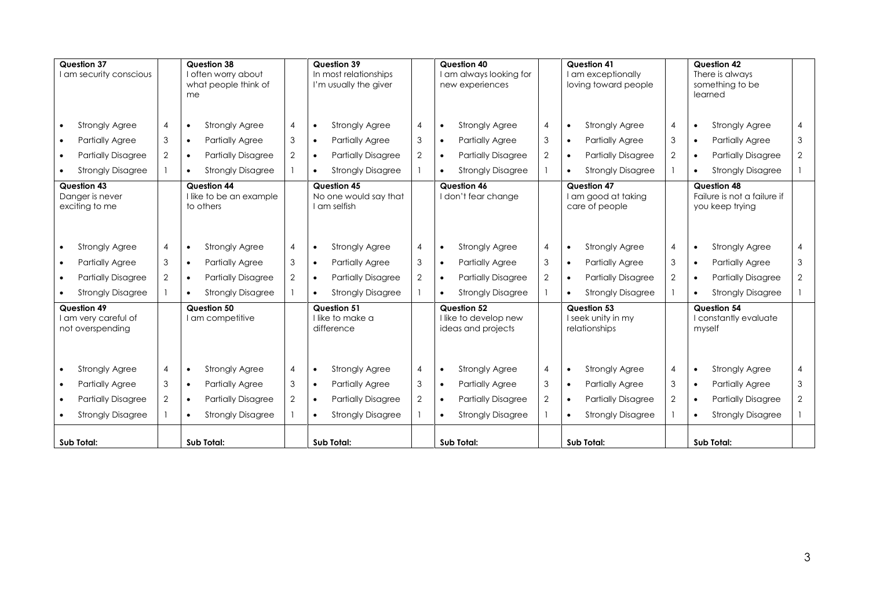| Question 37<br>I am security conscious                  |                | <b>Question 38</b><br>me | I often worry about<br>what people think of |                |           | Question 39<br>In most relationships<br>I'm usually the giver |                |           | Question 40<br>I am always looking for<br>new experiences  |                |           | Question 41<br>am exceptionally<br>loving toward people |                |           | Question 42<br>There is always<br>something to be<br>learned  |                |
|---------------------------------------------------------|----------------|--------------------------|---------------------------------------------|----------------|-----------|---------------------------------------------------------------|----------------|-----------|------------------------------------------------------------|----------------|-----------|---------------------------------------------------------|----------------|-----------|---------------------------------------------------------------|----------------|
| <b>Strongly Agree</b>                                   | $\overline{4}$ | $\bullet$                | <b>Strongly Agree</b>                       | $\overline{A}$ |           | <b>Strongly Agree</b>                                         | 4              | $\bullet$ | <b>Strongly Agree</b>                                      | $\overline{4}$ | $\bullet$ | <b>Strongly Agree</b>                                   | $\overline{4}$ | $\bullet$ | <b>Strongly Agree</b>                                         | 4              |
| <b>Partially Agree</b>                                  | 3              | $\bullet$                | <b>Partially Agree</b>                      | 3              |           | <b>Partially Agree</b>                                        | 3              | $\bullet$ | <b>Partially Agree</b>                                     | 3              | $\bullet$ | <b>Partially Agree</b>                                  | 3              | $\bullet$ | <b>Partially Agree</b>                                        | 3              |
| <b>Partially Disagree</b>                               | 2              | $\bullet$                | <b>Partially Disagree</b>                   | $\overline{2}$ |           | <b>Partially Disagree</b>                                     | 2              | $\bullet$ | <b>Partially Disagree</b>                                  | $\overline{2}$ | $\bullet$ | <b>Partially Disagree</b>                               | 2              | $\bullet$ | <b>Partially Disagree</b>                                     | $\overline{2}$ |
| <b>Strongly Disagree</b>                                |                | $\bullet$                | <b>Strongly Disagree</b>                    |                |           | <b>Strongly Disagree</b>                                      |                |           | <b>Strongly Disagree</b>                                   |                | $\bullet$ | <b>Strongly Disagree</b>                                |                | $\bullet$ | <b>Strongly Disagree</b>                                      |                |
| Question 43<br>Danger is never<br>exciting to me        |                | Question 44<br>to others | I like to be an example                     |                |           | <b>Question 45</b><br>No one would say that<br>I am selfish   |                |           | Question 46<br>I don't fear change                         |                |           | Question 47<br>am good at taking<br>care of people      |                |           | Question 48<br>Failure is not a failure if<br>you keep trying |                |
| <b>Strongly Agree</b>                                   | $\overline{4}$ | $\bullet$                | <b>Strongly Agree</b>                       | $\overline{4}$ | $\bullet$ | <b>Strongly Agree</b>                                         | 4              | $\bullet$ | <b>Strongly Agree</b>                                      | $\overline{4}$ | $\bullet$ | <b>Strongly Agree</b>                                   | $\overline{4}$ | $\bullet$ | <b>Strongly Agree</b>                                         | 4              |
| <b>Partially Agree</b>                                  | 3              | $\bullet$                | <b>Partially Agree</b>                      | 3              |           | <b>Partially Agree</b>                                        | 3              | $\bullet$ | <b>Partially Agree</b>                                     | 3              | $\bullet$ | <b>Partially Agree</b>                                  | 3              | $\bullet$ | <b>Partially Agree</b>                                        | 3              |
| <b>Partially Disagree</b>                               | 2              | $\bullet$                | <b>Partially Disagree</b>                   | $\overline{2}$ |           | <b>Partially Disagree</b>                                     | $\overline{2}$ | $\bullet$ | <b>Partially Disagree</b>                                  | 2              | $\bullet$ | <b>Partially Disagree</b>                               | 2              | $\bullet$ | <b>Partially Disagree</b>                                     | $\overline{2}$ |
| <b>Strongly Disagree</b>                                |                | $\bullet$                | <b>Strongly Disagree</b>                    |                |           | <b>Strongly Disagree</b>                                      |                | $\bullet$ | <b>Strongly Disagree</b>                                   |                |           | <b>Strongly Disagree</b>                                |                | $\bullet$ | <b>Strongly Disagree</b>                                      |                |
| Question 49<br>I am very careful of<br>not overspending |                | Question 50              | I am competitive                            |                |           | <b>Question 51</b><br>I like to make a<br>difference          |                |           | Question 52<br>I like to develop new<br>ideas and projects |                |           | Question 53<br>I seek unity in my<br>relationships      |                | myself    | Question 54<br>I constantly evaluate                          |                |
| <b>Strongly Agree</b>                                   | $\overline{4}$ | $\bullet$                | <b>Strongly Agree</b>                       | $\overline{4}$ | $\bullet$ | <b>Strongly Agree</b>                                         | 4              | $\bullet$ | <b>Strongly Agree</b>                                      | $\overline{4}$ | $\bullet$ | <b>Strongly Agree</b>                                   | $\overline{4}$ | $\bullet$ | <b>Strongly Agree</b>                                         | 4              |
| <b>Partially Agree</b>                                  | 3              | $\bullet$                | Partially Agree                             | 3              | $\bullet$ | <b>Partially Agree</b>                                        | 3              | $\bullet$ | <b>Partially Agree</b>                                     | 3              | $\bullet$ | <b>Partially Agree</b>                                  | 3              | $\bullet$ | <b>Partially Agree</b>                                        | 3              |
| <b>Partially Disagree</b>                               | 2              | $\bullet$                | <b>Partially Disagree</b>                   | $\overline{2}$ |           | <b>Partially Disagree</b>                                     | $\overline{2}$ | $\bullet$ | <b>Partially Disagree</b>                                  | 2              | $\bullet$ | <b>Partially Disagree</b>                               | 2              | $\bullet$ | <b>Partially Disagree</b>                                     | $\overline{2}$ |
| <b>Strongly Disagree</b>                                |                | $\bullet$                | <b>Strongly Disagree</b>                    |                |           | <b>Strongly Disagree</b>                                      |                | $\bullet$ | <b>Strongly Disagree</b>                                   |                | $\bullet$ | <b>Strongly Disagree</b>                                |                | $\bullet$ | <b>Strongly Disagree</b>                                      |                |
| Sub Total:                                              |                | Sub Total:               |                                             |                |           | Sub Total:                                                    |                |           | Sub Total:                                                 |                |           | Sub Total:                                              |                |           | Sub Total:                                                    |                |